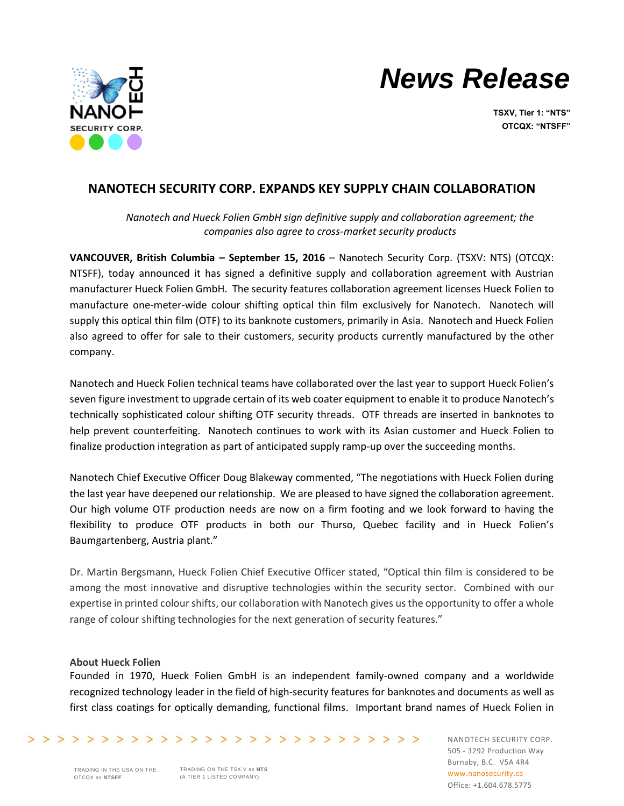



**TSXV, Tier 1: "NTS" OTCQX: "NTSFF"**

## **NANOTECH SECURITY CORP. EXPANDS KEY SUPPLY CHAIN COLLABORATION**

*Nanotech and Hueck Folien GmbH sign definitive supply and collaboration agreement; the companies also agree to cross-market security products*

**VANCOUVER, British Columbia – September 15, 2016** – Nanotech Security Corp. (TSXV: NTS) (OTCQX: NTSFF), today announced it has signed a definitive supply and collaboration agreement with Austrian manufacturer Hueck Folien GmbH. The security features collaboration agreement licenses Hueck Folien to manufacture one-meter-wide colour shifting optical thin film exclusively for Nanotech. Nanotech will supply this optical thin film (OTF) to its banknote customers, primarily in Asia. Nanotech and Hueck Folien also agreed to offer for sale to their customers, security products currently manufactured by the other company.

Nanotech and Hueck Folien technical teams have collaborated over the last year to support Hueck Folien's seven figure investment to upgrade certain of its web coater equipment to enable it to produce Nanotech's technically sophisticated colour shifting OTF security threads. OTF threads are inserted in banknotes to help prevent counterfeiting. Nanotech continues to work with its Asian customer and Hueck Folien to finalize production integration as part of anticipated supply ramp-up over the succeeding months.

Nanotech Chief Executive Officer Doug Blakeway commented, "The negotiations with Hueck Folien during the last year have deepened our relationship. We are pleased to have *s*igned the collaboration agreement. Our high volume OTF production needs are now on a firm footing and we look forward to having the flexibility to produce OTF products in both our Thurso, Quebec facility and in Hueck Folien's Baumgartenberg, Austria plant."

Dr. Martin Bergsmann, Hueck Folien Chief Executive Officer stated, "Optical thin film is considered to be among the most innovative and disruptive technologies within the security sector. Combined with our expertise in printed colour shifts, our collaboration with Nanotech gives us the opportunity to offer a whole range of colour shifting technologies for the next generation of security features."

## **About Hueck Folien**

Founded in 1970, Hueck Folien GmbH is an independent family-owned company and a worldwide recognized technology leader in the field of high-security features for banknotes and documents as well as first class coatings for optically demanding, functional films. Important brand names of Hueck Folien in

>>>>>>>>>>>>>>>>>>>>>>>>>>>>>>>>

TRADING ON THE TSX.V as **NTS** (A TIER 1 LISTED COMPANY)

NANOTECH SECURITY CORP. 505 - 3292 Production Way Burnaby, B.C. V5A 4R4 www.nanosecurity.ca Office: +1.604.678.5775